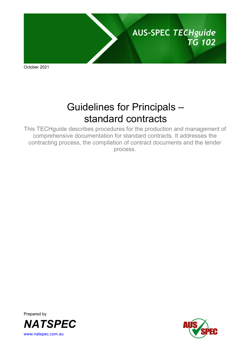

October 2021

# Guidelines for Principals – standard contracts

This TECHguide describes procedures for the production and management of comprehensive documentation for standard contracts. It addresses the contracting process, the compilation of contract documents and the tender process.



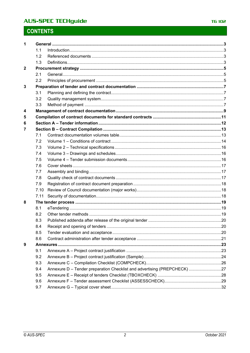| 1            |      |                                                                          |  |
|--------------|------|--------------------------------------------------------------------------|--|
|              | 1.1  |                                                                          |  |
|              | 1.2  |                                                                          |  |
|              | 1.3  |                                                                          |  |
| $\mathbf{2}$ |      |                                                                          |  |
|              | 2.1  |                                                                          |  |
|              | 2.2  |                                                                          |  |
| 3            |      |                                                                          |  |
|              | 3.1  |                                                                          |  |
|              | 3.2  |                                                                          |  |
|              | 3.3  |                                                                          |  |
| 4            |      |                                                                          |  |
| 5            |      |                                                                          |  |
| 6            |      |                                                                          |  |
| 7            |      |                                                                          |  |
|              | 7.1  |                                                                          |  |
|              | 7.2  |                                                                          |  |
|              | 7.3  |                                                                          |  |
|              | 7.4  |                                                                          |  |
|              | 7.5  |                                                                          |  |
|              | 7.6  |                                                                          |  |
|              | 7.7  |                                                                          |  |
|              | 7.8  |                                                                          |  |
|              | 7.9  |                                                                          |  |
|              | 7.10 |                                                                          |  |
|              | 7.11 |                                                                          |  |
| 8            |      |                                                                          |  |
|              | 8.1  |                                                                          |  |
|              | 8.2  |                                                                          |  |
|              | 8.3  |                                                                          |  |
|              | 8.4  |                                                                          |  |
|              | 8.5  |                                                                          |  |
|              | 8.6  |                                                                          |  |
| 9            |      |                                                                          |  |
|              | 9.1  |                                                                          |  |
|              | 9.2  |                                                                          |  |
|              | 9.3  |                                                                          |  |
|              | 9.4  | Annexure D - Tender preparation Checklist and advertising (PREPCHECK) 27 |  |
|              | 9.5  |                                                                          |  |
|              | 9.6  |                                                                          |  |
|              | 9.7  |                                                                          |  |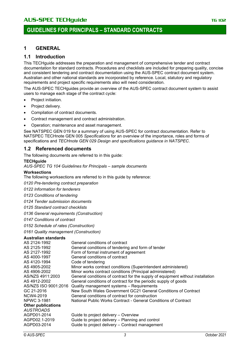### **1 GENERAL**

### **1.1 Introduction**

This TECHguide addresses the preparation and management of comprehensive tender and contract documentation for standard contracts. Procedures and checklists are included for preparing quality, concise and consistent tendering and contract documentation using the AUS-SPEC contract document system. Australian and other national standards are incorporated by reference. Local, statutory and regulatory requirements and project specific requirements also will need consideration.

The AUS-SPEC TECHguides provide an overview of the AUS-SPEC contract document system to assist users to manage each stage of the contract cycle:

- Project initiation.
- Project delivery.
- Compilation of contract documents.
- Contract management and contract administration.
- Operation; maintenance and asset management.

See NATSPEC GEN 019 for a summary of using AUS-SPEC for contract documentation. Refer to NATSPEC TECHnote GEN 005 *Specifications* for an overview of the importance, roles and forms of specifications and *TECHnote GEN 029 Design and specifications guidance in NATSPEC*.

### **1.2 Referenced documents**

The following documents are referred to in this guide:

#### **TECHguide**

*AUS-SPEC TG 104 Guidelines for Principals – sample documents*

#### **Worksections**

The following worksections are referred to in this guide by reference:

*0120 Pre-tendering contract preparation*

*0122 Information for tenderers*

*0123 Conditions of tendering*

*0124 Tender submission documents*

*0125 Standard contract checklists*

*0136 General requirements (Construction)*

*0147 Conditions of contract*

*0152 Schedule of rates (Construction)*

*0161 Quality management (Construction)*

### **Australian standards**

| General conditions of contract for the supply of equipment without installation |
|---------------------------------------------------------------------------------|
|                                                                                 |
|                                                                                 |
|                                                                                 |
|                                                                                 |
|                                                                                 |
|                                                                                 |
|                                                                                 |
|                                                                                 |
|                                                                                 |
|                                                                                 |
|                                                                                 |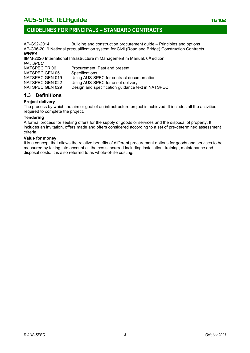## **GUIDELINES FOR PRINCIPALS – STANDARD CONTRACTS**

AP-G92-2014 Building and construction procurement guide – Principles and options AP-C96-2019 National prequalification system for Civil (Road and Bridge) Construction Contracts *IPWEA* 

### IIMM-2020 International Infrastructure m Management m Manual. 6th edition *NATSPEC*

| NATSPEC TR 06   | Procurement: Past and present                     |
|-----------------|---------------------------------------------------|
| NATSPEC GEN 05  | <b>Specifications</b>                             |
| NATSPEC GEN 019 | Using AUS-SPEC for contract documentation         |
| NATSPEC GEN 022 | Using AUS-SPEC for asset delivery                 |
| NATSPEC GEN 029 | Design and specification guidance text in NATSPEC |

### **1.3 Definitions**

### **Project delivery**

The process by which the aim or goal of an infrastructure project is achieved. It includes all the activities required to complete the project.

### **Tendering**

A formal process for seeking offers for the supply of goods or services and the disposal of property. It includes an invitation, offers made and offers considered according to a set of pre-determined assessment criteria.

### **Value for money**

It is a concept that allows the relative benefits of different procurement options for goods and services to be measured by taking into account all the costs incurred including installation, training, maintenance and disposal costs. It is also referred to as whole-of-life costing.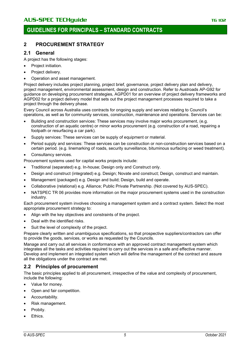## **2 PROCUREMENT STRATEGY**

### **2.1 General**

A project has the following stages:

- Project initiation.
- Project delivery.
- Operation and asset management.

Project delivery includes project planning, project brief, governance*,* project delivery plan and delivery, project management, environmental assessment, design and construction. Refer to Austroads AP-G92 for guidance on developing procurement strategies, AGPD01 for an overview of project delivery frameworks and AGPD02 for a project delivery model that sets out the project management processes required to take a project through the delivery phase.

Every Council across Australia uses contracts for ongoing supply and services relating to Council's operations, as well as for community services, construction, maintenance and operations. Services can be:

- Building and construction services: These services may involve major works procurement, (e.g. construction of an aquatic centre) or minor works procurement (e.g. construction of a road, repairing a footpath or resurfacing a car park).
- Supply services: These services can be supply of equipment or material.
- Period supply and services: These services can be construction or non-construction services based on a certain period. (e.g. linemarking of roads, security surveillance, bituminous surfacing or weed treatment).
- Consultancy services.
- Procurement systems used for capital works projects include:
- Traditional (separated) e.g. In-house; Design only and Construct only.
- Design and construct (integrated) e.g. Design; Novate and construct; Design, construct and maintain.
- Management (packaged) e.g. Design and build; Design, build and operate.
- Collaborative (relational) e.g. Alliance; Public Private Partnership. (Not covered by AUS-SPEC).
- NATSPEC TR 06 provides more information on the major procurement systems used in the construction industry.

Each procurement system involves choosing a management system and a contract system. Select the most appropriate procurement strategy to:

- Align with the key objectives and constraints of the project.
- Deal with the identified risks.
- Suit the level of complexity of the project.

Prepare clearly written and unambiguous specifications, so that prospective suppliers/contractors can offer to provide the goods, services, or works as requested by the Councils.

Manage and carry out all services in conformance with an approved contract management system which integrates all the tasks and activities required to carry out the services in a safe and effective manner. Develop and implement an integrated system which will define the management of the contract and assure all the obligations under the contract are met.

### **2.2 Principles of procurement**

The basic principles applied to all procurement, irrespective of the value and complexity of procurement, include the following:

- Value for money.
- Open and fair competition.
- Accountability.
- Risk management.
- Probity.
- Ethics.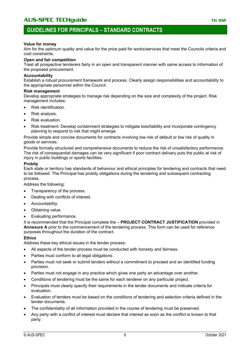## **GUIDELINES FOR PRINCIPALS – STANDARD CONTRACTS**

#### **Value for money**

Aim for the optimum quality and value for the price paid for works/services that meet the Councils criteria and cost constraints.

#### **Open and fair competition**

Treat all prospective tenderers fairly in an open and transparent manner with same access to information of the proposed procurement.

#### **Accountability**

Establish a robust procurement framework and process. Clearly assign responsibilities and accountability to the appropriate personnel within the Council.

#### **Risk management**

Develop appropriate strategies to manage risk depending on the size and complexity of the project. Risk management includes:

- Risk identification.
- Risk analysis.
- Risk evaluation.
- Risk treatment: Develop containment strategies to mitigate loss/liability and incorporate contingency planning to respond to risk that might emerge.

Provide simple and concise documents for contracts involving low risk of default or low risk of quality in goods or services.

Provide formally structured and comprehensive documents to reduce the risk of unsatisfactory performance. The risk of consequential damages can be very significant if poor contract delivery puts the public at risk of injury in public buildings or sports facilities.

#### **Probity**

Each state or territory has standards of behaviour and ethical principles for tendering and contracts that need to be followed. The Principal has probity obligations during the tendering and subsequent contracting process.

Address the following:

- Transparency of the process.
- Dealing with conflicts of interest.
- Accountability.
- Obtaining value.
- Evaluating performance.

It is recommended that the Principal complete the – **PROJECT CONTRACT JUSTIFICATION** provided in **Annexure A** prior to the commencement of the tendering process. This form can be used for reference purposes throughout the duration of the contract.

### **Ethics**

Address these key ethical issues in the tender process:

- All aspects of the tender process must be conducted with honesty and fairness.
- Parties must conform to all legal obligations.
- Parties must not seek or submit tenders without a commitment to proceed and an identified funding provision.
- Parties must not engage in any practice which gives one party an advantage over another.
- Conditions of tendering must be the same for each tenderer on any particular project.
- Principals must clearly specify their requirements in the tender documents and indicate criteria for evaluation.
- Evaluation of tenders must be based on the conditions of tendering and selection criteria defined in the tender documents.
- The confidentiality of all information provided in the course of tendering must be preserved.
- Any party with a conflict of interest must declare that interest as soon as the conflict is known to that party.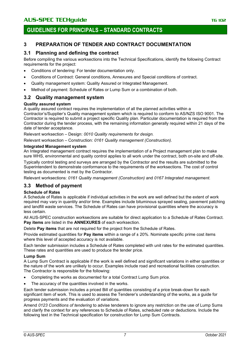## **3 PREPARATION OF TENDER AND CONTRACT DOCUMENTATION**

### **3.1 Planning and defining the contract**

Before compiling the various worksections into the Technical Specifications, identify the following Contract requirements for the project:

- Conditions of tendering: For tender documentation only.
- Conditions of Contract: General conditions, Annexures and Special conditions of contract.
- Quality management system: Quality Assured or Integrated Management.
- Method of payment: Schedule of Rates or Lump Sum or a combination of both.

### **3.2 Quality management system**

### **Quality assured system**

A quality assured contract requires the implementation of all the planned activities within a

Contractor's/Supplier's Quality management system which is required to conform to AS/NZS ISO 9001. The Contractor is required to submit a project specific Quality plan. Particular documentation is required from the Contractor during the tender process, with the remaining information generally required within 21 days of the date of tender acceptance.

Relevant worksection – Design: *0010 Quality requirements for design.*

Relevant worksection – Construction: *0161 Quality management (Construction).*

### **Integrated Management system**

An Integrated management contract requires the implementation of a Project management plan to make sure WHS, environmental and quality control applies to all work under the contract, both on-site and off-site.

Typically control testing and surveys are arranged by the Contractor and the results are submitted to the Superintendent to demonstrate conformance to the requirements of the worksections. The cost of control testing as documented is met by the Contractor.

Relevant worksections: *0161 Quality management (Construction)* and *0167 Integrated management.*

## **3.3 Method of payment**

### **Schedule of Rates**

A Schedule of Rates is applicable if individual activities in the work are well defined but the extent of work required may vary in quantity and/or time. Examples include bituminous sprayed sealing, pavement patching and landfill waste services. The Schedule of Rates can have provisional quantities where the accuracy is less certain.

All AUS-SPEC construction worksections are suitable for direct application to a Schedule of Rates Contract. **Pay items** are listed in the **ANNEXURES** of each worksection.

Delete **Pay items** that are not required for the project from the Schedule of Rates.

Provide estimated quantities for **Pay items** within a range of ± 20%. Nominate specific prime cost items where this level of accepted accuracy is not available.

Each tender submission includes a Schedule of Rates completed with unit rates for the estimated quantities. These rates and quantities are used to produce the tender price.

### **Lump Sum**

A Lump Sum Contract is applicable if the work is well defined and significant variations in either quantities or the nature of the work are unlikely to occur. Examples include road and recreational facilities construction. The Contractor is responsible for the following:

- Completing the works as documented for a total Contract Lump Sum price.
- The accuracy of the quantities involved in the works.

Each tender submission includes a priced Bill of quantities consisting of a price break-down for each significant item of work. This is used to assess the Tenderer's understanding of the works, as a guide for progress payments and the evaluation of variations.

Amend *0123 Conditions of tendering* to advise tenderers to ignore any restriction on the use of Lump Sums and clarify the context for any references to Schedule of Rates, scheduled rate or deductions. Include the following text in the Technical specification for construction for Lump Sum Contracts.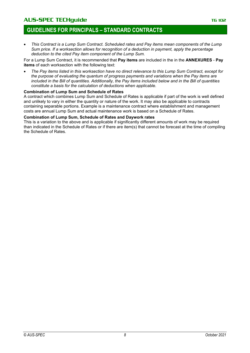## **GUIDELINES FOR PRINCIPALS – STANDARD CONTRACTS**

• *This Contract is a Lump Sum Contract. Scheduled rates and Pay items mean components of the Lump Sum price. If a worksection allows for recognition of a deduction in payment, apply the percentage deduction to the cited Pay item component of the Lump Sum.*

For a Lump Sum Contract, it is recommended that **Pay items** are included in the in the **ANNEXURES** - **Pay items** of each worksection with the following text:

• *The Pay items listed in this worksection have no direct relevance to this Lump Sum Contract, except for the purpose of evaluating the quantum of progress payments and variations when the Pay items are included in the Bill of quantities. Additionally, the Pay items included below and in the Bill of quantities constitute a basis for the calculation of deductions when applicable.*

#### **Combination of Lump Sum and Schedule of Rates**

A contract which combines Lump Sum and Schedule of Rates is applicable if part of the work is well defined and unlikely to vary in either the quantity or nature of the work. It may also be applicable to contracts containing separable portions. Example is a maintenance contract where establishment and management costs are annual Lump Sum and actual maintenance work is based on a Schedule of Rates.

### **Combination of Lump Sum, Schedule of Rates and Daywork rates**

This is a variation to the above and is applicable if significantly different amounts of work may be required than indicated in the Schedule of Rates or if there are item(s) that cannot be forecast at the time of compiling the Schedule of Rates.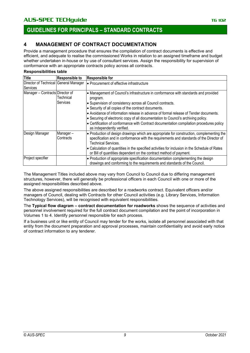## AUS-SPEC TECHguide **TECHGUIDE TECHGUIDE TELESCOPE CONTRACTE** TELES

## **GUIDELINES FOR PRINCIPALS – STANDARD CONTRACTS**

## **4 MANAGEMENT OF CONTRACT DOCUMENTATION**

Provide a management procedure that ensures the compilation of contract documents is effective and efficient, and adequate to realise the commissioned Works in relation to an assigned timeframe and budget whether undertaken in-house or by use of consultant services. Assign the responsibility for supervision of conformance with an appropriate contracts policy across all contracts.

#### **Responsibilities table**

| <b>Title</b>                                             | <b>Responsible to</b> | <b>Responsible for</b>                                                                                                                                                                                                                                                                                                                                                                                                                                                                                                      |
|----------------------------------------------------------|-----------------------|-----------------------------------------------------------------------------------------------------------------------------------------------------------------------------------------------------------------------------------------------------------------------------------------------------------------------------------------------------------------------------------------------------------------------------------------------------------------------------------------------------------------------------|
| Director of Technical General Manager<br><b>Services</b> |                       | • Procurement of effective infrastructure                                                                                                                                                                                                                                                                                                                                                                                                                                                                                   |
| Manager - Contracts Director of                          | Technical<br>Services | • Management of Council's infrastructure in conformance with standards and provided<br>program.<br>• Supervision of consistency across all Council contracts.<br>• Security of all copies of the contract documents.<br>• Avoidance of information release in advance of formal release of Tender documents.<br>• Securing of electronic copy of all documentation to Council's archiving policy.<br>• Certification of conformance with Contract documentation compilation procedures policy<br>as independently verified. |
| Design Manager                                           | Manager-<br>Contracts | • Production of design drawings which are appropriate for construction, complementing the<br>specification and in conformance with the requirements and standards of the Director of<br>Technical Services.<br>• Calculation of quantities in the specified activities for inclusion in the Schedule of Rates<br>or Bill of quantities dependent on the contract method of payment.                                                                                                                                         |
| Project specifier                                        |                       | • Production of appropriate specification documentation complementing the design<br>drawings and conforming to the requirements and standards of the Council.                                                                                                                                                                                                                                                                                                                                                               |

The Management Titles included above may vary from Council to Council due to differing management structures, however, there will generally be professional officers in each Council with one or more of the assigned responsibilities described above.

The above assigned responsibilities are described for a roadworks contract. Equivalent officers and/or managers of Council, dealing with Contracts for other Council activities (e.g. Library Services, Information Technology Services), will be recognised with equivalent responsibilities.

The **Typical flow diagram – contract documentation for roadworks** shows the sequence of activities and personnel involvement required for the full contract document compilation and the point of incorporation in Volumes 1 to 4. Identify personnel responsible for each process.

If a business unit or like entity of Council may tender for the works, isolate all personnel associated with that entity from the document preparation and approval processes, maintain confidentiality and avoid early notice of contract information to any tenderer.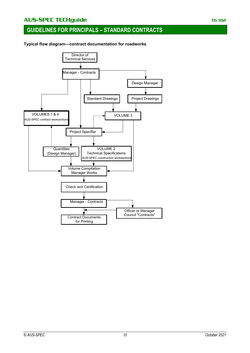**Typical flow diagram—contract documentation for roadworks**

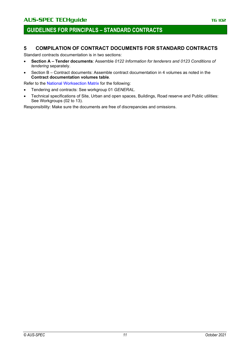### **5 COMPILATION OF CONTRACT DOCUMENTS FOR STANDARD CONTRACTS**

Standard contracts documentation is in two sections:

- **Section A – Tender documents**: Assemble *0122 Information for tenderers and 0123 Conditions of tendering* separately.
- Section B Contract documents: Assemble contract documentation in 4 volumes as noted in the **Contract documentation volumes table**.

Refer to the [National Worksection Matrix](http://www.natspec.com.au/Documents/National%20worksection%20matrix.pdf) for the following:

- Tendering and contracts: See workgroup 01 *GENERAL.*
- Technical specifications of Site, Urban and open spaces, Buildings, Road reserve and Public utilities: See Workgroups (02 to 13).

Responsibility: Make sure the documents are free of discrepancies and omissions.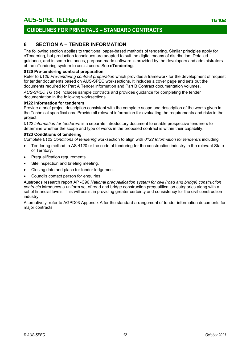## **6 SECTION A – TENDER INFORMATION**

The following section applies to traditional paper-based methods of tendering. Similar principles apply for eTendering, but production techniques are adapted to suit the digital means of distribution. Detailed guidance, and in some instances, purpose-made software is provided by the developers and administrators of the eTendering system to assist users. See **eTendering**.

### **0120 Pre-tendering contract preparation**

Refer to *0120 Pre-tendering contract preparation* which provides a framework for the development of request for tender documents based on AUS-SPEC worksections. It includes a cover page and sets out the documents required for Part A Tender information and Part B Contract documentation volumes.

*AUS-SPEC TG 104* includes sample contracts and provides guidance for completing the tender documentation in the following worksections.

### **0122 Information for tenderers**

Provide a brief project description consistent with the complete scope and description of the works given in the Technical specifications. Provide all relevant information for evaluating the requirements and risks in the project.

*0122 Information for tenderers* is a separate introductory document to enable prospective tenderers to determine whether the scope and type of works in the proposed contract is within their capability.

### **0123 Conditions of tendering**

Complete *0123 Conditions of tendering* worksection to align with *0122 Information for tenderers* including:

- Tendering method to AS 4120 or the code of tendering for the construction industry in the relevant State or Territory.
- Prequalification requirements.
- Site inspection and briefing meeting.
- Closing date and place for tender lodgement.
- Councils contact person for enquiries.

Austroads research report AP -C96 *National prequalification system for civil (road and bridge) construction contracts* introduces a uniform set of road and bridge construction prequalification categories along with a set of financial levels. This will assist in providing greater certainty and consistency for the civil construction industry.

Alternatively, refer to AGPD03 Appendix A for the standard arrangement of tender information documents for major contracts.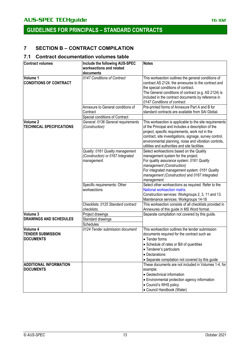## **7 SECTION B – CONTRACT COMPILATION**

### **7.1 Contract documentation volumes table**

| <b>Contract volumes</b>                      | Include the following AUS-SPEC           | <b>Notes</b>                                                                                             |
|----------------------------------------------|------------------------------------------|----------------------------------------------------------------------------------------------------------|
|                                              | worksections and related                 |                                                                                                          |
| Volume 1                                     | documents<br>0147 Conditions of Contract | This worksection outlines the general conditions of                                                      |
| <b>CONDITIONS OF CONTRACT</b>                |                                          | contract AS 2124, the annexures to the contract and                                                      |
|                                              |                                          | the special conditions of contract.                                                                      |
|                                              |                                          | The General conditions of contract (e.g. AS 2124) is                                                     |
|                                              |                                          | included in the contract documents by reference in                                                       |
|                                              |                                          | 0147 Conditions of contract.                                                                             |
|                                              | Annexure to General conditions of        | Pre-printed forms of Annexure Part A and B for                                                           |
|                                              | Contract                                 | standard contracts are available from SAI Global.                                                        |
|                                              | Special conditions of Contract           |                                                                                                          |
| Volume 2                                     | General: 0136 General requirements       | This worksection is applicable to the site requirements                                                  |
| <b>TECHNICAL SPECIFICATIONS</b>              | (Construction)                           | of the Principal and includes a description of the                                                       |
|                                              |                                          | project, specific requirements, work not in the                                                          |
|                                              |                                          | contract, site investigations, signage, survey control,                                                  |
|                                              |                                          | environmental planning, noise and vibration controls,<br>utilities and authorities and site facilities.  |
|                                              | Quality: 0161 Quality management         | Select worksections based on the Quality                                                                 |
|                                              | (Construction) or 0167 Integrated        | management system for the project.                                                                       |
|                                              | management.                              | For quality assurance system: 0161 Quality                                                               |
|                                              |                                          | management (Construction)                                                                                |
|                                              |                                          | For integrated management system: 0161 Quality                                                           |
|                                              |                                          | management (Construction) and 0167 Integrated                                                            |
|                                              |                                          | management.                                                                                              |
|                                              | Specific requirements: Other             | Select other worksections as required. Refer to the                                                      |
|                                              | worksections                             | National worksection matrix.                                                                             |
|                                              |                                          | Construction services: Workgroups 2, 3, 11 and 13.                                                       |
|                                              |                                          | Maintenance services: Workgroups 14-18                                                                   |
|                                              | Checklists: 0125 Standard contract       | This worksection consists of all checklists provided in                                                  |
|                                              | checklists.                              | Annexures of this guide in MS Word format.                                                               |
| Volume 3                                     | Project drawings                         | Separate compilation not covered by this guide.                                                          |
| <b>DRAWINGS AND SCHEDULES</b>                | Standard drawings                        |                                                                                                          |
|                                              | <b>Schedules</b>                         |                                                                                                          |
| Volume 4                                     | 0124 Tender submission document          | This worksection outlines the tender submission                                                          |
| <b>TENDER SUBMISSION</b><br><b>DOCUMENTS</b> |                                          | documents required for the contract such as:                                                             |
|                                              |                                          | • Tender forms                                                                                           |
|                                              |                                          | • Schedule of rates or Bill of quantities                                                                |
|                                              |                                          | • Tenderer's particulars<br>• Declarations                                                               |
|                                              |                                          |                                                                                                          |
| <b>ADDITIONAL INFORMATION</b>                |                                          | • Separate compilation not covered by this guide<br>These documents are not included in Volumes 1-4, for |
| <b>DOCUMENTS</b>                             |                                          | example:                                                                                                 |
|                                              |                                          | • Geotechnical information                                                                               |
|                                              |                                          | • Environmental protection agency information                                                            |
|                                              |                                          | • Council's WHS policy                                                                                   |
|                                              |                                          | • Council Handbook (Water)                                                                               |
|                                              |                                          |                                                                                                          |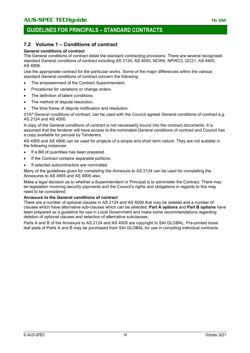### **7.2 Volume 1 – Conditions of contract**

### **General conditions of contract**

The General conditions of contract detail the standard contracting provisions. There are several recognised standard General conditions of contract including AS 2124, AS 4000, NCW4, NPWC3, GC21, AS 4905, AS 4906.

Use the appropriate contract for the particular works. Some of the major differences within the various standard General conditions of contract concern the following:

- The empowerment of the Contract Superintendent.
- Procedures for variations or change orders.
- The definition of latent conditions.
- The method of dispute resolution.
- The time frame of dispute notification and resolution.

*0147 General conditions of contract*, can be used with the Council agreed General conditions of contract e.g. AS 2124 and AS 4000.

A copy of the General conditions of contract is not necessarily bound into the contract documents. It is assumed that the tenderer will have access to the nominated General conditions of contract and Council has a copy available for perusal by Tenderers.

AS 4905 and AS 4906 can be used for projects of a simple and short term nature. They are not suitable in the following instances:

- If a Bill of quantities has been prepared.
- If the Contract contains separable portions.
- If selected subcontractors are nominated.

Many of the guidelines given for completing the Annexure to AS 2124 can be used for completing the Annexures to AS 4905 and AS 4906 also.

Make a legal decision as to whether a Superintendent or Principal is to administer the Contract. There may be legislation involving security payments and the Council's rights and obligations in regards to this may need to be considered.

### **Annexure to the General conditions of contract**

There are a number of optional clauses in AS 2124 and AS 4000 that may be deleted and a number of clauses which have alternative sub-clauses which can be selected. **Part A options** and **Part B options** have been prepared as a guideline for use in Local Government and make some recommendations regarding deletion of optional clauses and selection of alternative subclauses.

Parts A and B of the Annexure to AS 2124 and AS 4000 are copyright to SAI GLOBAL. Pre-printed loose leaf pads of Parts A and B may be purchased from SAI GLOBAL for use in compiling individual contracts.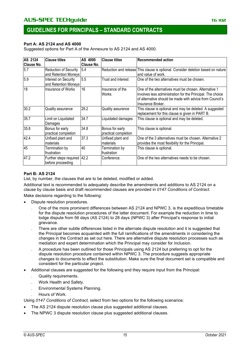### **Part A: AS 2124 and AS 4000**

Suggested options for Part A of the Annexure to AS 2124 and AS 4000.

| <b>AS 2124</b><br><b>Clause No.</b> | <b>Clause titles</b>                          | AS 4000<br>Clause No. | <b>Clause titles</b>                    | <b>Recommended action</b>                                                                                                                                                                            |
|-------------------------------------|-----------------------------------------------|-----------------------|-----------------------------------------|------------------------------------------------------------------------------------------------------------------------------------------------------------------------------------------------------|
| 5.7                                 | Reduction of Security<br>and Retention Moneys | 5.4                   |                                         | Reduction and release This clause is optional. Consider deletion based on nature<br>and value of work.                                                                                               |
| 5.9                                 | Interest on Security<br>and Retention Moneys  | 5.5                   | Trust and interest                      | One of the two alternatives must be chosen.                                                                                                                                                          |
| 18                                  | Insurance of Works                            | 16                    | Insurance of the<br>Works               | One of the alternatives must be chosen. Alternative 1<br>involves less administration for the Principal. The choice<br>of alternative should be made with advice from Council's<br>Insurance Broker. |
| 30.2                                | Quality assurance                             | 29.2                  | Quality assurance                       | This clause is optional and may be deleted. A suggested<br>replacement for this clause is given in PART B.                                                                                           |
| 35.7                                | Limit on Liquidated<br>Damages                | 34.7                  | Liquidated damages                      | This clause is optional and may be deleted.                                                                                                                                                          |
| 35.8                                | Bonus for early<br>practical completion       | 34.8                  | Bonus for early<br>practical completion | This clause is optional.                                                                                                                                                                             |
| 42.4                                | Unfixed plant and<br>materials                | 37.3                  | Unfixed plant and<br>materials          | One of the 3 alternatives must be chosen. Alternative 2<br>provides the most flexibility for the Principal.                                                                                          |
| 45                                  | Termination by<br>frustration                 | 40                    | Termination by<br>frustration           | This clause is optional.                                                                                                                                                                             |
| 47.2                                | Further steps required<br>before proceeding   | 42.2                  | Conference.                             | One of the two alternatives needs to be chosen.                                                                                                                                                      |

### **Part B: AS 2124**

List, by number, the clauses that are to be deleted, modified or added.

Additional text is recommended to adequately describe the amendments and additions to AS 2124 on a clause by clause basis and draft recommended clauses are provided in *0147 Conditions of Contract*. Make decisions regarding to the following:

• Dispute resolution procedures.

- . One of the more prominent differences between AS 2124 and NPWC 3, is the expeditious timetable for the dispute resolution procedures of the latter document. For example the reduction in time to lodge dispute from 56 days (AS 2124) to 28 days (NPWC 3) after Principal's response to initial grievance.
- . There are other subtle differences listed in the alternate dispute resolution and it is suggested that the Principal becomes acquainted with the full ramifications of the amendments in considering the changes in the Contract as set out here. There are alternative dispute resolution processes such as mediation and expert determination which the Principal may consider for inclusion.
- . A procedure has been outlined for those Principals using AS 2124 but preferring to opt for the dispute resolution procedure contained within NPWC 3. The procedure suggests appropriate changes to documents to effect the substitution. Make sure the final document set is compatible and consistent for the particular project.
- Additional clauses are suggested for the following and they require input from the Principal:
	- . Quality requirements.
	- . Work Health and Safety.
	- . Environmental Systems Planning.
	- . Hours of Work.

Using *0147 Conditions of Contract,* select from two options for the following scenarios:

- The AS 2124 dispute resolution clause plus suggested additional clauses.
- The NPWC 3 dispute resolution clause plus suggested additional clauses.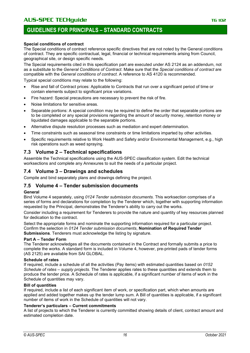### **Special conditions of contract**

The Special conditions of contract reference specific directives that are not noted by the General conditions of contract. They are specific contractual, legal, financial or technical requirements arising from Council, geographical site, or design specific needs.

The Special requirements cited in this specification part are executed under AS 2124 as an addendum, not as a substitute to the *General Conditions of Contract*. Make sure that the *Special conditions of contract* are compatible with the *General conditions of contract*. A reference to AS 4120 is recommended.

Typical special conditions may relate to the following:

- Rise and fall of Contract prices: Applicable to Contracts that run over a significant period of time or contain elements subject to significant price variations.
- Fire hazard: Special precautions are necessary to prevent the risk of fire.
- Noise limitations for sensitive areas.
- Separable portions: A special condition may be required to define the order that separable portions are to be completed or any special provisions regarding the amount of security money, retention money or liquidated damages applicable to the separable portions.
- Alternative dispute resolution processes such as mediation and expert determination.
- Time constraints such as seasonal time constraints or time limitations imparted by other activities.
- Specific requirements relative to Work Health and Safety and/or Environmental Management, e.g., high risk operations such as weed spraying.

### **7.3 Volume 2 – Technical specifications**

Assemble the Technical specifications using the AUS-SPEC classification system. Edit the technical worksections and complete any Annexures to suit the needs of a particular project.

### **7.4 Volume 3 – Drawings and schedules**

Compile and bind separately plans and drawings defining the project.

### **7.5 Volume 4 – Tender submission documents**

### **General**

Bind Volume 4 separately, using *0124 Tender submission documents.* This worksection comprises of a series of forms and declarations for completion by the Tenderer which, together with supporting information requested by the Principal, demonstrates the Tenderer's ability to carry out the works.

Consider including a requirement for Tenderers to provide the nature and quantity of key resources planned for dedication to the contract.

Select the appropriate forms and nominate the supporting information required for a particular project. Confirm the selection in *0124 Tender submission documents*, **Nomination of Required Tender Submissions***.* Tenderers must acknowledge the listing by signature.

### **Part A – Tender Form**

The Tenderer acknowledges all the documents contained in the Contract and formally submits a price to complete the works. A standard form is included in Volume 4, however, pre-printed pads of tender forms (AS 2125) are available from SAI GLOBAL.

### **Schedule of rates**

If required, include a schedule of all the activities (Pay items) with estimated quantities based on *0152 Schedule of rates – supply projects*. The Tenderer applies rates to these quantities and extends them to produce the tender price. A Schedule of rates is applicable, if a significant number of items of work in the Schedule of quantities may vary.

### **Bill of quantities**

If required, include a list of each significant item of work, or specification part, which when amounts are applied and added together makes up the tender lump sum. A Bill of quantities is applicable, if a significant number of items of work in the Schedule of quantities will not vary.

### **Tenderer's particulars – Current commitments**

A list of projects to which the Tenderer is currently committed showing details of client, contract amount and estimated completion date.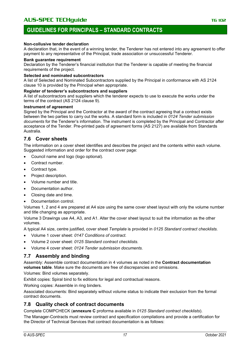### **Non-collusive tender declaration**

A declaration that, in the event of a winning tender, the Tenderer has not entered into any agreement to offer payment to any representative of the Principal, trade association or unsuccessful Tenderer.

#### **Bank guarantee requirement**

Declaration by the Tenderer's financial institution that the Tenderer is capable of meeting the financial requirements of the project.

#### **Selected and nominated subcontractors**

A list of Selected and Nominated Subcontractors supplied by the Principal in conformance with AS 2124 clause 10 is provided by the Principal when appropriate.

#### **Register of tenderer's subcontractors and suppliers**

A list of subcontractors and suppliers which the tenderer expects to use to execute the works under the terms of the contract (AS 2124 clause 9).

#### **Instrument of agreement**

Signed by the Principal and the Contractor at the award of the contract agreeing that a contract exists between the two parties to carry out the works. A standard form is included in *0124 Tender submission documents* for the Tenderer's information. The instrument is completed by the Principal and Contractor after acceptance of the Tender. Pre-printed pads of agreement forms (AS 2127) are available from Standards Australia.

### **7.6 Cover sheets**

The information on a cover sheet identifies and describes the project and the contents within each volume. Suggested information and order for the contract cover page:

- Council name and logo (logo optional).
- Contract number.
- Contract type.
- Project description.
- Volume number and title.
- Documentation author.
- Closing date and time.
- Documentation control.

Volumes 1, 2 and 4 are prepared at A4 size using the same cover sheet layout with only the volume number and title changing as appropriate.

Volume 3 Drawings use A4, A3, and A1. Alter the cover sheet layout to suit the information as the other volumes.

A typical A4 size, centre justified, cover sheet *Template* is provided in *0125 Standard contract checklists.*

- Volume 1 cover sheet: *0147 Conditions of contract.*
- Volume 2 cover sheet: *0125 Standard contract checklists.*
- Volume 4 cover sheet: *0124 Tender submission documents.*

### **7.7 Assembly and binding**

Assembly: Assemble contract documentation in 4 volumes as noted in the **Contract documentation volumes table**. Make sure the documents are free of discrepancies and omissions.

Volumes: Bind volumes separately.

Exhibit copies: Spiral bind to fix editions for legal and contractual reasons.

Working copies: Assemble in ring binders.

Associated documents: Bind separately without volume status to indicate their exclusion from the formal contract documents.

### **7.8 Quality check of contract documents**

Complete COMPCHECK (**annexure C** proforma available in *0125 Standard contract checklists*).

The Manager-Contracts must review contract and specification compilations and provide a certification for the Director of Technical Services that contract documentation is as follows: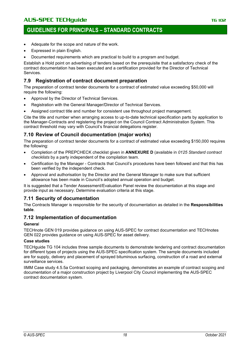## **GUIDELINES FOR PRINCIPALS – STANDARD CONTRACTS**

- Adequate for the scope and nature of the work.
- Expressed in plain English.
- Documented requirements which are practical to build to a program and budget.

Establish a Hold point on advertising of tenders based on the prerequisite that a satisfactory check of the contract documentation has been executed and a certification provided for the Director of Technical Services.

### **7.9 Registration of contract document preparation**

The preparation of contract tender documents for a contract of estimated value exceeding \$50,000 will require the following:

- Approval by the Director of Technical Services.
- Registration with the General Manager/Director of Technical Services.
- Assigned contract title and number for consistent use throughout project management.

Cite the title and number when arranging access to up-to-date technical specification parts by application to the Manager-Contracts and registering the project on the Council Contract Administration System. This contract threshold may vary with Council's financial delegations register.

### **7.10 Review of Council documentation (major works)**

The preparation of contract tender documents for a contract of estimated value exceeding \$150,000 requires the following:

- Completion of the PREPCHECK checklist given in **ANNEXURE D** (available in *0125 Standard contract checklists* by a party independent of the compilation team.
- Certification by the Manager Contracts that Council's procedures have been followed and that this has been verified by the independent check.
- Approval and authorisation by the Director and the General Manager to make sure that sufficient allowance has been made in Council's adopted annual operation and budget.

It is suggested that a Tender Assessment/Evaluation Panel review the documentation at this stage and provide input as necessary. Determine evaluation criteria at this stage.

### **7.11 Security of documentation**

The Contracts Manager is responsible for the security of documentation as detailed in the **Responsibilities table**.

### **7.12 Implementation of documentation**

### **Genera**l

TECHnote GEN 019 provides guidance on using AUS-SPEC for contract documentation and TECHnotes GEN 022 provides guidance on using AUS-SPEC for asset delivery.

### **Case studies**

TECHguide TG 104 includes three sample documents to demonstrate tendering and contract documentation for different types of projects using the AUS-SPEC specification system. The sample documents included are for supply, delivery and placement of sprayed bituminous surfacing, construction of a road and external surveillance services.

IIMM Case study 4.5.5a Contract scoping and packaging, demonstrates an example of contract scoping and documentation of a major construction project by Liverpool City Council implementing the AUS-SPEC contract documentation system.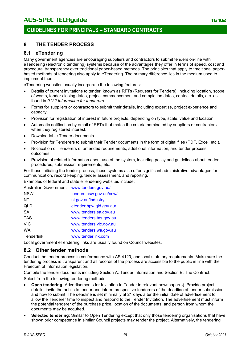## **8 THE TENDER PROCESS**

## **8.1 eTendering**

Many government agencies are encouraging suppliers and contractors to submit tenders on-line with eTendering (electronic tendering) systems because of the advantages they offer in terms of speed, cost and procedural transparency over traditional paper-based methods. The principles that apply to traditional paperbased methods of tendering also apply to eTendering. The primary difference lies in the medium used to implement them.

eTendering websites usually incorporate the following features:

- Details of current invitations to tender, known as RFTs (Requests for Tenders), including location, scope of works, tender closing dates, project commencement and completion dates, contact details, etc. as found in *0122 Information for tenderers*.
- Forms for suppliers or contractors to submit their details, including expertise, project experience and capacity.
- Provision for registration of interest in future projects, depending on type, scale, value and location.
- Automatic notification by email of RFTs that match the criteria nominated by suppliers or contractors when they registered interest.
- Downloadable Tender documents.
- Provision for Tenderers to submit their Tender documents in the form of digital files (PDF, Excel, etc.).
- Notification of Tenderers of amended requirements, additional information, and tender process outcomes.
- Provision of related information about use of the system, including policy and guidelines about tender procedures, submission requirements, etc.

For those initiating the tender process, these systems also offer significant administrative advantages for communication, record keeping, tender assessment, and reporting.

Examples of federal and state eTendering websites include:

| Australian Government | www.tenders.gov.au/     |
|-----------------------|-------------------------|
| <b>NSW</b>            | tenders.nsw.gov.au/nsw/ |
| NΤ                    | nt.gov.au/industry      |
| QLD                   | etender.hpw.qld.gov.au/ |
| SA                    | www.tenders.sa.gov.au   |
| <b>TAS</b>            | www.tenders.tas.gov.au  |
| <b>VIC</b>            | www.tenders.vic.gov.au  |
| <b>WA</b>             | www.tenders.wa.gov.au   |
| Tenderlink            | www.tenderlink.com      |

Local government eTendering links are usually found on Council websites.

### **8.2 Other tender methods**

Conduct the tender process in conformance with AS 4120, and local statutory requirements. Make sure the tendering process is transparent and all records of the process are accessible to the public in line with the Freedom of Information legislation.

Compile the tender documents including Section A: Tender information and Section B: The Contract. Select from the following tendering methods:

- **Open tendering:** Advertisements for Invitation to Tender in relevant newspaper(s). Provide project details, invite the public to tender and inform prospective tenderers of the deadline of tender submission and how to submit. The deadline is set minimally at 21 days after the initial date of advertisement to allow the Tenderer time to inspect and respond to the Tender Invitation. The advertisement must inform the potential tenderer of the purchase price, location of the documents, and person from whom the documents may be acquired.
- **Selected tendering**: Similar to Open Tendering except that only those tendering organisations that have shown prior competence in similar Council projects may tender the project. Alternatively, the tendering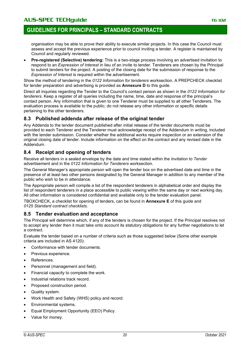## **GUIDELINES FOR PRINCIPALS – STANDARD CONTRACTS**

organisation may be able to prove their ability to execute similar projects. In this case the Council must assess and accept the previous experience prior to council inviting a tender. A register is maintained by Council and regularly reviewed.

• **Pre-registered (Selective) tendering:** This is a two-stage process involving an advertised invitation to respond to an *Expression of Interest* in lieu of an invite to tender. Tenderers are chosen by the Principal to submit tenders for the project. A posting of the closing date for the submission of response to the *Expression of Interest* is required within the advertisement.

Show the method of tendering in the *0122 Information for tenderers* worksection*.* A PREPCHECK checklist for tender preparation and advertising is provided as **Annexure D** to this guide.

Direct all inquiries regarding the Tender to the Council's contact person as shown in the *0122 Information for tenderers*. Keep a register of all queries including the name, time, date and response of the principal's contact person. Any information that is given to one Tenderer must be supplied to all other Tenderers. The evaluation process is available to the public; do not release any other information or specific details pertaining to the other tenderers.

### **8.3 Published addenda after release of the original tender**

Any Addenda to the tender document published after initial release of the tender documents must be provided to each Tenderer and the Tenderer must acknowledge receipt of the Addendum in writing, included with the tender submission. Consider whether the additional works require inspection or an extension of the original closing date of tender. Include information on the effect on the contract and any revised date in the Addendum.

### **8.4 Receipt and opening of tenders**

Receive all tenders in a sealed envelope by the date and time stated within the *Invitation to Tender* advertisement and in the *0122 Information for Tenderers* worksection.

The General Manager's appropriate person will open the tender box on the advertised date and time in the presence of at least two other persons designated by the General Manager in addition to any member of the public who wish to be in attendance.

The Appropriate person will compile a list of the respondent tenderers in alphabetical order and display the list of respondent tenderers in a place accessible to public viewing within the same day or next working day. All other information is considered confidential and available only to the tender evaluation panel.

TBOXCHECK, a checklist for opening of tenders, can be found in **Annexure E** of this guide and *0125 Standard contract checklists*.

### **8.5 Tender evaluation and acceptance**

The Principal will determine which, if any of the tenders is chosen for the project. If the Principal resolves not to accept any tender then it must take onto account its statutory obligations for any further negotiations to let a contract.

Evaluate the tender based on a number of criteria such as those suggested below (Some other example criteria are included in AS 4120):

- Conformance with tender documents.
- Previous experience.
- References.
- Personnel (management and field).
- Financial capacity to complete the work.
- Industrial relations track record.
- Proposed construction period.
- Quality system.
- Work Health and Safety (WHS) policy and record.
- Environmental systems.
- Equal Employment Opportunity (EEO) Policy.
- Value for money.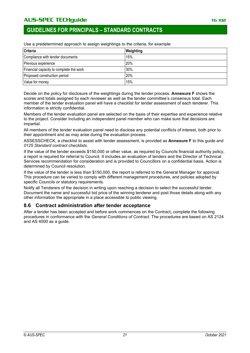## **GUIDELINES FOR PRINCIPALS – STANDARD CONTRACTS**

**Criteria Weighting** Compliance with tender documents 15% Previous experience 20% Financial capacity to complete the work  $\vert$ 30% Proposed construction period 20% Value for money 15%

Use a predetermined approach to assign weightings to the criteria, for example:

Decide on the policy for disclosure of the weightings during the tender process. **Annexure F** shows the scores and totals assigned by each reviewer as well as the tender committee's consensus total. Each member of the tender evaluation panel will have a checklist for tender assessment of each tenderer. This information is strictly confidential.

Members of the tender evaluation panel are selected on the basis of their expertise and experience relative to the project. Consider including an independent panel member who can make sure that decisions are impartial.

All members of the tender evaluation panel need to disclose any potential conflicts of interest, both prior to their appointment and as may arise during the evaluation process.

ASSESSCHECK, a checklist to assist with tender assessment, is provided as **Annexure F** to this guide and *0125 Standard contract checklists*.

If the value of the tender exceeds \$150,000 or other value, as required by Councils financial authority policy, a report is required for referral to Council. It includes an evaluation of tenders and the Director of Technical Services recommendation for consideration and is provided to Councillors on a confidential basis. Action is determined by Council resolution.

If the value of the tender is less than \$150,000, the report is referred to the General Manager for approval. This procedure can be varied to comply with different management procedures, and policies adopted by specific Councils or statutory requirements.

Notify all Tenderers of the decision in writing upon reaching a decision to select the successful tender. Document the name and successful bid price of the winning tenderer and post those details along with any other information the appropriate in a place accessible to public viewing.

### **8.6 Contract administration after tender acceptance**

After a tender has been accepted and before work commences on the Contract, complete the following procedures in conformance with the *General Conditions of Contract*. The procedures are based on AS 2124 and AS 4000 as a guide.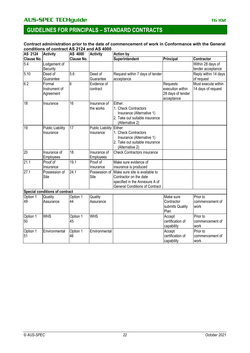#### **Contract administration prior to the date of commencement of work in Conformance with the General conditions of contract AS 2124 and AS 4000**

| AS 2124        | <b>Activity</b>                      | AS 4000        | <b>Activity</b>                       | <b>Action by</b>                                                                                                                                  |                                                                 |                                           |  |
|----------------|--------------------------------------|----------------|---------------------------------------|---------------------------------------------------------------------------------------------------------------------------------------------------|-----------------------------------------------------------------|-------------------------------------------|--|
| Clause No.     |                                      | Clause No.     |                                       | Superintendent                                                                                                                                    | Principal                                                       | Contractor                                |  |
| 5.4            | Lodgement of                         |                |                                       |                                                                                                                                                   |                                                                 | Within 28 days of                         |  |
|                | Security                             |                |                                       |                                                                                                                                                   |                                                                 | tender acceptance                         |  |
| 5.10           | Deed of                              | 5.6            | Deed of                               | Request within 7 days of tender                                                                                                                   |                                                                 | Reply within 14 days                      |  |
|                | Guarantee                            |                | Guarantee                             | acceptance                                                                                                                                        |                                                                 | of request                                |  |
| 6.2            | Formal<br>Instrument of<br>Agreement | 6              | Evidence of<br>contract               |                                                                                                                                                   | Requests<br>execution within<br>28 days of tender<br>acceptance | Must execute within<br>14 days of request |  |
| 18             | Insurance                            | 16             | Insurance of<br>the works             | Either:<br>1. Check Contractors<br>Insurance (Alternative 1)<br>2. Take out suitable insurance<br>(Alternative 2)                                 |                                                                 |                                           |  |
| 19             | <b>Public Liability</b><br>Insurance | 17             | Public Liability Either:<br>Insurance | 1. Check Contractors<br>Insurance (Alternative 1)<br>2. Take out suitable insurance<br>(Alternative 2)                                            |                                                                 |                                           |  |
| 20             | Insurance of<br>Employees            | 18             | Insurance of<br>Employees             | <b>Check Contractors insurance</b>                                                                                                                |                                                                 |                                           |  |
| 21.1           | Proof of                             | 19.1           | Proof of                              | Make sure evidence of                                                                                                                             |                                                                 |                                           |  |
|                | Insurance                            |                | Insurance                             | insurance is produced                                                                                                                             |                                                                 |                                           |  |
| 27.1           | Possession of<br>Site                | 24.1           | Site                                  | Possession of Make sure site is available to<br>Contractor on the date<br>specified in the Annexure A of<br><b>General Conditions of Contract</b> |                                                                 |                                           |  |
|                | Special conditions of contract       |                |                                       |                                                                                                                                                   |                                                                 |                                           |  |
| Option 1<br>49 | Quality<br>Assurance                 | Option 1<br>44 | Quality<br>Assurance                  |                                                                                                                                                   | Make sure<br>Contractor<br>submits Quality<br>Plan              | Prior to<br>commencement of<br>work       |  |
| Option 1<br>50 | <b>WHS</b>                           | Option 1<br>45 | <b>WHS</b>                            |                                                                                                                                                   | Accept<br>certification of<br>capability                        | Prior to<br>commencement of<br>work       |  |
| Option 1<br>51 | Environmental                        | Option 1<br>46 | Environmental                         |                                                                                                                                                   | Accept<br>certification of<br>capability                        | Prior to<br>commencement of<br>work       |  |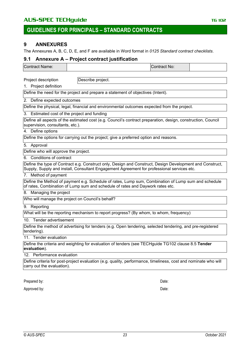### **9 ANNEXURES**

The Annexures A, B, C, D, E, and F are available in Word format in *0125 Standard contract checklists*.

### **9.1 Annexure A – Project contract justification**

| <b>Contract Name:</b> | Contract No:⊦ |  |
|-----------------------|---------------|--|
|                       |               |  |

Project description **Describe project.** 

### 1. Project definition

Define the need for the project and prepare a statement of objectives (Intent).

### 2. Define expected outcomes

Define the physical, legal, financial and environmental outcomes expected from the project.

#### 3. Estimated cost of the project and funding

Define all aspects of the estimated cost (e.g. Council's contract preparation, design, construction, Council supervision, consultants, etc.).

### 4. Define options

Define the options for carrying out the project; give a preferred option and reasons.

5. Approval

Define who will approve the project.

#### 6. Conditions of contract

Define the type of Contract e.g. Construct only, Design and Construct, Design Development and Construct, Supply, Supply and install, Consultant Engagement Agreement for professional services etc.

#### 7. Method of payment

Define the Method of payment e.g. Schedule of rates, Lump sum, Combination of Lump sum and schedule of rates, Combination of Lump sum and schedule of rates and Daywork rates etc.

#### 8. Managing the project

Who will manage the project on Council's behalf?

#### 9. Reporting

What will be the reporting mechanism to report progress? (By whom, to whom, frequency)

#### 10. Tender advertisement

Define the method of advertising for tenders (e.g. Open tendering, selected tendering, and pre-registered tendering).

### 11. Tender evaluation

Define the criteria and weighting for evaluation of tenders (see TECHguide TG102 clause 8.5 **Tender evaluation**).

#### 12. Performance evaluation

Define criteria for post-project evaluation (e.g. quality, performance, timeliness, cost and nominate who will carry out the evaluation).

Prepared by: Date:

Approved by: Date: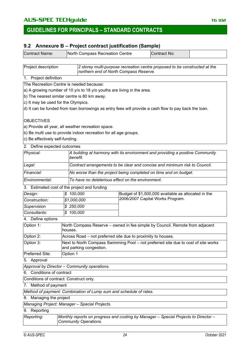### **9.2 Annexure B – Project contract justification (Sample)**

| <b>Contract Name:</b>                    | North Compass Recreation Centre                                                                                     |                                                                            | Contract No:                                        |  |  |  |
|------------------------------------------|---------------------------------------------------------------------------------------------------------------------|----------------------------------------------------------------------------|-----------------------------------------------------|--|--|--|
| Project description                      |                                                                                                                     | 2 storey multi-purpose recreation centre proposed to be constructed at the |                                                     |  |  |  |
|                                          | northern end of North Compass Reserve.                                                                              |                                                                            |                                                     |  |  |  |
| 1. Project definition                    |                                                                                                                     |                                                                            |                                                     |  |  |  |
| The Recreation Centre is needed because: |                                                                                                                     |                                                                            |                                                     |  |  |  |
|                                          | a) A growing number of 10 y/o to 18 y/o youths are living in the area.                                              |                                                                            |                                                     |  |  |  |
|                                          | b) The nearest similar centre is 80 km away.                                                                        |                                                                            |                                                     |  |  |  |
| c) It may be used for the Olympics.      |                                                                                                                     |                                                                            |                                                     |  |  |  |
|                                          | d) It can be funded from loan borrowings as entry fees will provide a cash flow to pay back the loan.               |                                                                            |                                                     |  |  |  |
| <b>OBJECTIVES</b>                        |                                                                                                                     |                                                                            |                                                     |  |  |  |
|                                          | a) Provide all year, all weather recreation space.                                                                  |                                                                            |                                                     |  |  |  |
|                                          | b) Be multi use to provide indoor recreation for all age groups.                                                    |                                                                            |                                                     |  |  |  |
| c) Be effectively self-funding.          |                                                                                                                     |                                                                            |                                                     |  |  |  |
| 2. Define expected outcomes              |                                                                                                                     |                                                                            |                                                     |  |  |  |
| Physical:                                | A building at harmony with its environment and providing a positive Community<br>benefit.                           |                                                                            |                                                     |  |  |  |
| Legal:                                   |                                                                                                                     | Contract arrangements to be clear and concise and minimum risk to Council. |                                                     |  |  |  |
| Financial:                               | No worse than the project being completed on time and on budget.                                                    |                                                                            |                                                     |  |  |  |
| Environmental:                           | To have no deleterious effect on the environment.                                                                   |                                                                            |                                                     |  |  |  |
|                                          | 3. Estimated cost of the project and funding                                                                        |                                                                            |                                                     |  |  |  |
| Design:                                  | \$100,000                                                                                                           |                                                                            | Budget of \$1,500,000 available as allocated in the |  |  |  |
| Construction:                            | \$1,000,000                                                                                                         |                                                                            | 2006/2007 Capital Works Program.                    |  |  |  |
| Supervision                              | \$250,000                                                                                                           |                                                                            |                                                     |  |  |  |
| Consultants:                             | \$100,000                                                                                                           |                                                                            |                                                     |  |  |  |
| 4. Define options                        |                                                                                                                     |                                                                            |                                                     |  |  |  |
| Option 1:                                | North Compass Reserve - owned in fee simple by Council. Remote from adjacent<br>houses.                             |                                                                            |                                                     |  |  |  |
| Option 2:                                | Across Road – not preferred site due to proximity to houses.                                                        |                                                                            |                                                     |  |  |  |
| Option 3:                                | Next to North Compass Swimming Pool - not preferred site due to cost of site works<br>and parking congestion.       |                                                                            |                                                     |  |  |  |
| Preferred Site:                          | Option 1                                                                                                            |                                                                            |                                                     |  |  |  |
| 5. Approval                              |                                                                                                                     |                                                                            |                                                     |  |  |  |
|                                          | Approval by Director - Community operations.                                                                        |                                                                            |                                                     |  |  |  |
| 6. Conditions of contract                |                                                                                                                     |                                                                            |                                                     |  |  |  |
| Conditions of contract: Construct only.  |                                                                                                                     |                                                                            |                                                     |  |  |  |
| 7. Method of payment                     |                                                                                                                     |                                                                            |                                                     |  |  |  |
|                                          | Method of payment: Combination of Lump sum and schedule of rates.                                                   |                                                                            |                                                     |  |  |  |
| 8. Managing the project                  |                                                                                                                     |                                                                            |                                                     |  |  |  |
|                                          | Managing Project: Manager - Special Projects.                                                                       |                                                                            |                                                     |  |  |  |
| 9. Reporting                             |                                                                                                                     |                                                                            |                                                     |  |  |  |
| Reporting:                               | Monthly reports on progress and costing by Manager - Special Projects to Director -<br><b>Community Operations.</b> |                                                                            |                                                     |  |  |  |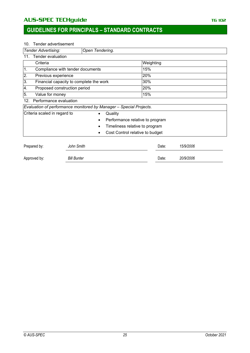## AU**S-SPEC TECHguide** The Contract of the Contract of the Contract of the Contract of the Contract of the Contract of the Contract of the Contract of the Contract of the Contract of the Contract of the Contract of the Contr

## **GUIDELINES FOR PRINCIPALS – STANDARD CONTRACTS**

#### 10. Tender advertisement

| <b>Tender Advertising:</b>    |                                         | Open Tendering.                                                    |                                 |           |  |  |  |
|-------------------------------|-----------------------------------------|--------------------------------------------------------------------|---------------------------------|-----------|--|--|--|
| 11.                           | Tender evaluation                       |                                                                    |                                 |           |  |  |  |
| Criteria                      |                                         |                                                                    | Weighting                       |           |  |  |  |
| 1.                            | Compliance with tender documents        |                                                                    | 15%                             |           |  |  |  |
| 2.<br>Previous experience     |                                         |                                                                    | 20%                             |           |  |  |  |
| 3.                            | Financial capacity to complete the work |                                                                    | 30%                             |           |  |  |  |
| 4.                            | Proposed construction period            |                                                                    | 20%                             |           |  |  |  |
| 5.<br>Value for money         |                                         |                                                                    | 15%                             |           |  |  |  |
| Performance evaluation<br>12. |                                         |                                                                    |                                 |           |  |  |  |
|                               |                                         | Evaluation of performance monitored by Manager - Special Projects. |                                 |           |  |  |  |
| Criteria scaled in regard to  |                                         | Quality<br>$\bullet$                                               |                                 |           |  |  |  |
|                               |                                         |                                                                    | Performance relative to program |           |  |  |  |
|                               |                                         |                                                                    | Timeliness relative to program  |           |  |  |  |
|                               |                                         |                                                                    | Cost Control relative to budget |           |  |  |  |
| Prepared by:                  | John Smith                              |                                                                    | Date:                           | 15/9/2006 |  |  |  |
| Approved by:                  | <b>Bill Bunter</b>                      |                                                                    | Date:                           | 20/9/2006 |  |  |  |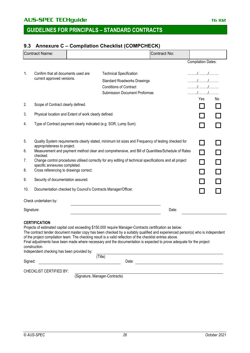## **GUIDELINES FOR PRINCIPALS – STANDARD CONTRACTS**

## **9.3 Annexure C – Compilation Checklist (COMPCHECK)**

| <b>Contract Name:</b> |                                                                                                                                                                                                                                                                                                                                                                                 |  |                                                                                                          | Contract No: |                                      |    |  |  |
|-----------------------|---------------------------------------------------------------------------------------------------------------------------------------------------------------------------------------------------------------------------------------------------------------------------------------------------------------------------------------------------------------------------------|--|----------------------------------------------------------------------------------------------------------|--------------|--------------------------------------|----|--|--|
|                       |                                                                                                                                                                                                                                                                                                                                                                                 |  |                                                                                                          |              | <b>Compilation Dates:</b>            |    |  |  |
| 1.                    | Confirm that all documents used are                                                                                                                                                                                                                                                                                                                                             |  | <b>Technical Specification</b>                                                                           |              |                                      |    |  |  |
|                       | current approved versions.                                                                                                                                                                                                                                                                                                                                                      |  | <b>Standard Roadworks Drawings</b>                                                                       |              | $\ldots \ldots \ldots \ldots \ldots$ |    |  |  |
|                       |                                                                                                                                                                                                                                                                                                                                                                                 |  | <b>Conditions of Contract</b>                                                                            |              |                                      |    |  |  |
|                       |                                                                                                                                                                                                                                                                                                                                                                                 |  | <b>Submission Document Proformas</b>                                                                     |              |                                      |    |  |  |
| 2.                    | Scope of Contract clearly defined.                                                                                                                                                                                                                                                                                                                                              |  |                                                                                                          |              | Yes<br>$\blacksquare$                | No |  |  |
| 3.                    | Physical location and Extent of work clearly defined.                                                                                                                                                                                                                                                                                                                           |  |                                                                                                          |              |                                      |    |  |  |
| 4.                    |                                                                                                                                                                                                                                                                                                                                                                                 |  | Type of Contract payment clearly indicated (e.g. SOR, Lump Sum).                                         |              | ┓                                    |    |  |  |
| 5.                    | Quality System requirements clearly stated, minimum lot sizes and Frequency of testing checked for<br>appropriateness to project.                                                                                                                                                                                                                                               |  |                                                                                                          |              | l 1                                  |    |  |  |
| 6.                    | checked.                                                                                                                                                                                                                                                                                                                                                                        |  | Measurement and payment method clear and comprehensive, and Bill of Quantities/Schedule of Rates         |              | $\Box$                               |    |  |  |
| 7.                    | specific annexures completed.                                                                                                                                                                                                                                                                                                                                                   |  | Change control procedures utilised correctly for any editing of technical specifications and all project |              | $\Box$                               |    |  |  |
| 8.                    | Cross referencing to drawings correct.                                                                                                                                                                                                                                                                                                                                          |  |                                                                                                          |              | $\sim$                               | П  |  |  |
| 9.                    | Security of documentation assured.                                                                                                                                                                                                                                                                                                                                              |  |                                                                                                          |              |                                      |    |  |  |
| 10.                   |                                                                                                                                                                                                                                                                                                                                                                                 |  | Documentation checked by Council's Contracts Manager/Officer.                                            |              | $\blacksquare$                       |    |  |  |
|                       | Check undertaken by:                                                                                                                                                                                                                                                                                                                                                            |  |                                                                                                          |              |                                      |    |  |  |
| Signature:            |                                                                                                                                                                                                                                                                                                                                                                                 |  | Date:                                                                                                    |              |                                      |    |  |  |
|                       | <b>CERTIFICATION</b><br>Projects of estimated capital cost exceeding \$150,000 require Manager-Contracts certification as below:<br>The contract tender document master copy has been checked by a suitably qualified and experienced person(s) who is independent<br>of the project compilation team. The checking result is a valid reflection of the checklist entries above |  |                                                                                                          |              |                                      |    |  |  |

| and his bigger and the manner community of a security can be computed and allowed and allowed a security and a       |
|----------------------------------------------------------------------------------------------------------------------|
| Final adjustments have been made where necessary and the documentation is expected to prove adequate for the project |
| construction.                                                                                                        |

| Independent checking has been provided by: |        |
|--------------------------------------------|--------|
|                                            | l itle |

| Signed: | Date: |
|---------|-------|
|         |       |

CHECKLIST CERTIFIED BY:

(Signature, Manager-Contracts)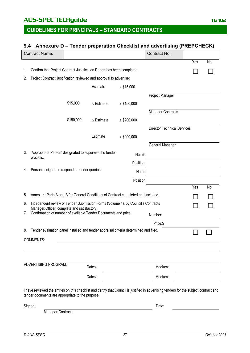## **GUIDELINES FOR PRINCIPALS – STANDARD CONTRACTS**

## **9.4 Annexure D – Tender preparation Checklist and advertising (PREPCHECK)**

|    | <b>Contract Name:</b>                                                                                          |           |                 |                 | <b>Contract No:</b>                                                                                                                     |     |    |
|----|----------------------------------------------------------------------------------------------------------------|-----------|-----------------|-----------------|-----------------------------------------------------------------------------------------------------------------------------------------|-----|----|
|    |                                                                                                                |           |                 |                 |                                                                                                                                         | Yes | No |
| 1. | Confirm that Project Contract Justification Report has been completed.                                         |           |                 |                 |                                                                                                                                         |     |    |
|    |                                                                                                                |           |                 |                 |                                                                                                                                         |     |    |
| 2. | Project Contract Justification reviewed and approval to advertise:                                             |           |                 |                 |                                                                                                                                         |     |    |
|    |                                                                                                                |           | Estimate        | $<$ \$15,000    |                                                                                                                                         |     |    |
|    |                                                                                                                |           |                 |                 | Project Manager                                                                                                                         |     |    |
|    |                                                                                                                | \$15,000  | $<$ Estimate    | $<$ \$150,000   |                                                                                                                                         |     |    |
|    |                                                                                                                |           |                 |                 | <b>Manager Contracts</b>                                                                                                                |     |    |
|    |                                                                                                                | \$150,000 | $\leq$ Estimate | $\le$ \$200,000 |                                                                                                                                         |     |    |
|    |                                                                                                                |           |                 |                 | <b>Director Technical Services</b>                                                                                                      |     |    |
|    |                                                                                                                |           | Estimate        | > \$200,000     |                                                                                                                                         |     |    |
|    |                                                                                                                |           |                 |                 | General Manager                                                                                                                         |     |    |
| 3. | 'Appropriate Person' designated to supervise the tender                                                        |           |                 |                 |                                                                                                                                         |     |    |
|    | process.                                                                                                       |           |                 | Name:           |                                                                                                                                         |     |    |
|    |                                                                                                                |           |                 | Position:       |                                                                                                                                         |     |    |
| 4. | Person assigned to respond to tender queries.                                                                  |           |                 | Name            |                                                                                                                                         |     |    |
|    |                                                                                                                |           |                 | Position        |                                                                                                                                         |     |    |
|    |                                                                                                                |           |                 |                 |                                                                                                                                         | Yes | No |
| 5. | Annexure Parts A and B for General Conditions of Contract completed and included.                              |           |                 |                 |                                                                                                                                         |     |    |
| 6. | Independent review of Tender Submission Forms (Volume 4), by Council's Contracts                               |           |                 |                 |                                                                                                                                         |     |    |
| 7. | Manager/Officer, complete and satisfactory.<br>Confirmation of number of available Tender Documents and price. |           |                 |                 |                                                                                                                                         |     |    |
|    |                                                                                                                |           |                 |                 | Number:                                                                                                                                 |     |    |
|    |                                                                                                                |           |                 |                 | Price:\$                                                                                                                                |     |    |
| 8. | Tender evaluation panel installed and tender appraisal criteria determined and filed.                          |           |                 |                 |                                                                                                                                         |     |    |
|    | <b>COMMENTS:</b>                                                                                               |           |                 |                 |                                                                                                                                         |     |    |
|    |                                                                                                                |           |                 |                 |                                                                                                                                         |     |    |
|    |                                                                                                                |           |                 |                 |                                                                                                                                         |     |    |
|    | ADVERTISING PROGRAM:                                                                                           |           | Dates:          |                 | Medium:                                                                                                                                 |     |    |
|    |                                                                                                                |           |                 |                 |                                                                                                                                         |     |    |
|    |                                                                                                                |           | Dates:          |                 | Medium:                                                                                                                                 |     |    |
|    | tender documents are appropriate to the purpose.                                                               |           |                 |                 | I have reviewed the entries on this checklist and certify that Council is justified in advertising tenders for the subject contract and |     |    |
|    | Signed:                                                                                                        |           |                 |                 | Date:                                                                                                                                   |     |    |
|    | Manager-Contracts                                                                                              |           |                 |                 |                                                                                                                                         |     |    |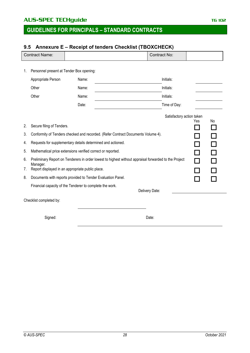## **GUIDELINES FOR PRINCIPALS – STANDARD CONTRACTS**

# **9.5 Annexure E – Receipt of tenders Checklist (TBOXCHECK)** Contract Name: Contract No: 1. Personnel present at Tender Box opening: Appropriate Person Name: Name: Initials: Other **Name: Name: Name: Name: Name: Name: Name: Name: Name: Name: Name: Name: Name: Name: Name: Name: Name: Name: Name: Name: Name: Name: Name: Name: Name: Name: Name:** Other **Name: Name: Name: Name: Name: Name: Name: Name: Name: Name: Name: Name: Name: Name: Name: Name: Name: Name: Name: Name: Name: Name: Name: Name: Name: Name: Name:** Date: Time of Day: Satisfactory action taken Yes No 2. Secure filing of Tenders.  $\Box$ 3. Conformity of Tenders checked and recorded. (Refer Contract Documents Volume 4). 4. Requests for supplementary details determined and actioned. 5. Mathematical price extensions verified correct or reported. 6. Preliminary Report on Tenderers in order lowest to highest without appraisal forwarded to the Project Manager. 7. Report displayed in an appropriate public place. 8. Documents with reports provided to Tender Evaluation Panel. Financial capacity of the Tenderer to complete the work. Delivery Date: Checklist completed by: Signed: Date: Date: Date: Date: Date: Date: Date: Date: Date: Date: Date: Date: Date: Date: Date: Date: Date: Date: Date: Date: Date: Date: Date: Date: Date: Date: Date: Date: Date: Date: Date: Date: Date: Date: Date: Date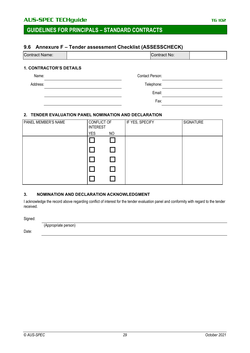### **9.6 Annexure F – Tender assessment Checklist (ASSESSCHECK)**

| Contract Name:                | lContract No:∖ |  |
|-------------------------------|----------------|--|
|                               |                |  |
| <b>4 CONTRACTOR'S BETAILS</b> |                |  |

#### **1. CONTRACTOR'S DETAILS**

| Name:    | Contact Person: |  |
|----------|-----------------|--|
| Address: | Telephone:      |  |
|          | Email:          |  |
|          | Fax:            |  |
|          |                 |  |

### **2. TENDER EVALUATION PANEL NOMINATION AND DECLARATION**

| PANEL MEMBER'S NAME | CONFLICT OF<br><b>INTEREST</b> |    | IF YES, SPECIFY | SIGNATURE |
|---------------------|--------------------------------|----|-----------------|-----------|
|                     | <b>YES</b>                     | NO |                 |           |
|                     |                                |    |                 |           |
|                     |                                |    |                 |           |
|                     |                                |    |                 |           |
|                     |                                |    |                 |           |
|                     |                                |    |                 |           |

### **3. NOMINATION AND DECLARATION ACKNOWLEDGMENT**

I acknowledge the record above regarding conflict of interest for the tender evaluation panel and conformity with regard to the tender received.

Signed:

(Appropriate person)

Date: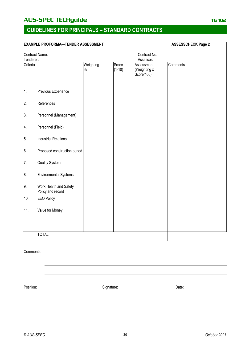## **GUIDELINES FOR PRINCIPALS – STANDARD CONTRACTS**

# **EXAMPLE PROFORMA—TENDER ASSESSMENT ASSESSCHECK Page 2** Contract Name: Contract No: Contract No: Contract No: Contract No: Contract No: Contract No: Contract No: Contract No: Contract No: Contract No: Contract No: Contract No: Contract No: Contract No: Contract No: Contract No: Tenderer:<br>Criteria Weighting % Score  $(1-10)$ **Assessment** (Weighting x Score/100) **Comments** 1. Previous Experience 2. References 3. Personnel (Management) 4. Personnel (Field) 5. Industrial Relations 6. Proposed construction period 7. Quality System 8. Environmental Systems 9. Work Health and Safety Policy and record 10. EEO Policy 11. Value for Money TOTAL Comments:

Position: Date: Signature: Signature: Date: Date: Date: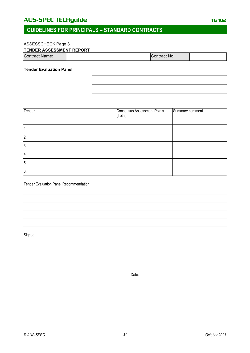## **GUIDELINES FOR PRINCIPALS – STANDARD CONTRACTS**

### ASSESSCHECK Page 3

| <b>TENDER ASSESSMENT REPORT</b> |  |
|---------------------------------|--|
|---------------------------------|--|

| Contract Name:<br>'Contract No: ∖ |  |
|-----------------------------------|--|
|-----------------------------------|--|

### **Tender Evaluation Panel**

| Tender | Consensus Assessment Points<br>(Total) | Summary comment |
|--------|----------------------------------------|-----------------|
| ٠.     |                                        |                 |
| 2.     |                                        |                 |
| 3.     |                                        |                 |
| 4.     |                                        |                 |
| 5.     |                                        |                 |
| 6.     |                                        |                 |

Tender Evaluation Panel Recommendation:

Signed:

Date: